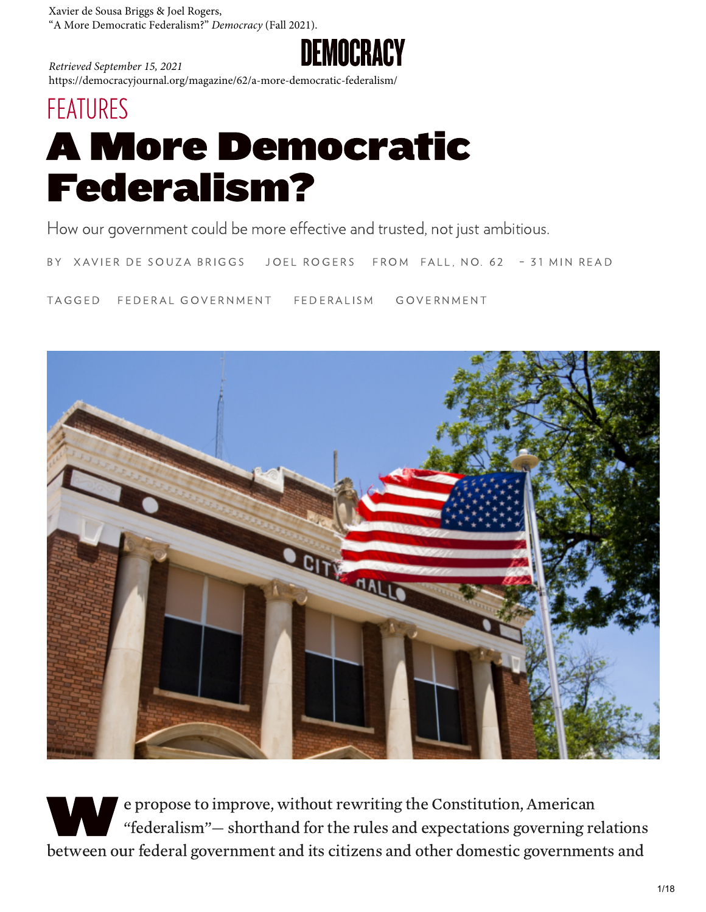Xavier de Sousa Briggs & Joel Rogers, "A More Democratic Federalism?" *Democracy* (Fall 2021).



*Retrieved September 15, 2021* https://democracyjournal.org/magazine/62/a-more-democratic-federalism/

# [FEATURES](https://democracyjournal.org/tag/features/) A More Democratic Federalism?

How our government could be more effective and trusted, not just ambitious.

BY XAVIER DE SOUZA BRIGGS JOEL ROGERS FROM FALL, NO. 62 - 31 MIN READ

TAGGED FEDERAL GOVERNMENT FEDERALISM GOVERNMENT



W e p e propose to improve, without rewriting the Constitution, American "federalism"— shorthand for the rules and expectations governing relations between our federal government and its citizens and other domestic governments and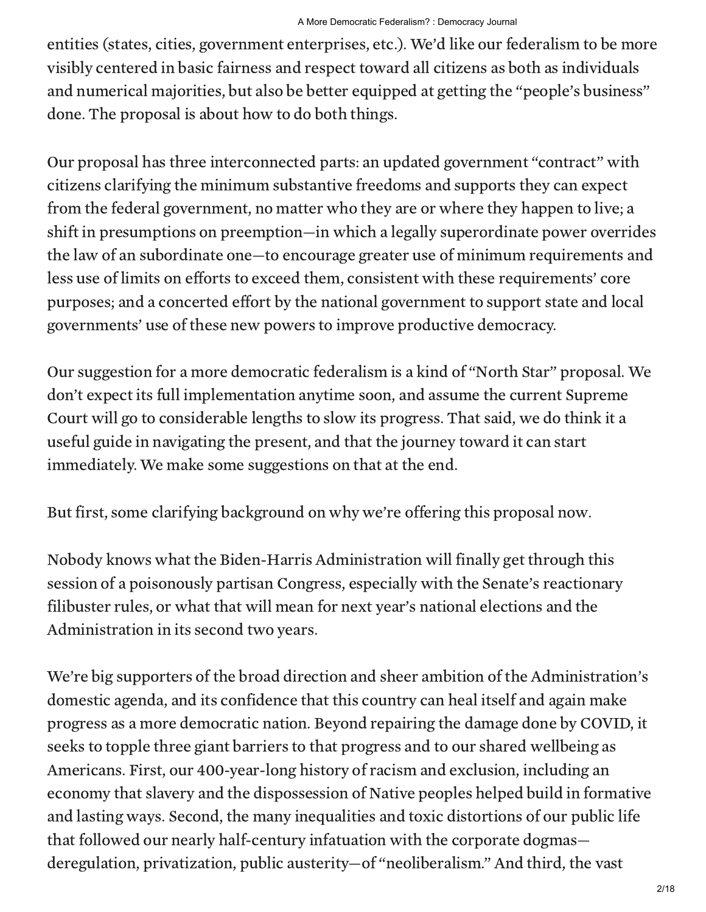entities (states, cities, government enterprises, etc.). We'd like our federalism to be more visibly centered in basic fairness and respect toward all citizens as both as individuals and numerical majorities, but also be better equipped at getting the "people's business" done. The proposal is about how to do both things.

Our proposal has three interconnected parts: an updated government "contract" with citizens clarifying the minimum substantive freedoms and supports they can expect from the federal government, no matter who they are or where they happen to live; a shift in presumptions on preemption—in which a legally superordinate power overrides the law of an subordinate one—to encourage greater use of minimum requirements and less use of limits on efforts to exceed them, consistent with these requirements' core purposes; and a concerted effort by the national government to support state and local governments' use of these new powers to improve productive democracy.

Our suggestion for a more democratic federalism is a kind of "North Star" proposal. We don't expect its full implementation anytime soon, and assume the current Supreme Court will go to considerable lengths to slow its progress. That said, we do think it a useful guide in navigating the present, and that the journey toward it can start immediately. We make some suggestions on that at the end.

But first, some clarifying background on why we're offering this proposal now.

Nobody knows what the Biden-Harris Administration will finally get through this session of a poisonously partisan Congress, especially with the Senate's reactionary filibuster rules, or what that will mean for next year's national elections and the Administration in its second two years.

We're big supporters of the broad direction and sheer ambition of the Administration's domestic agenda, and its confidence that this country can heal itself and again make progress as a more democratic nation. Beyond repairing the damage done by COVID, it seeks to topple three giant barriers to that progress and to our shared wellbeing as Americans. First, our 400-year-long history of racism and exclusion, including an economy that slavery and the dispossession of Native peoples helped build in formative and lasting ways. Second, the many inequalities and toxic distortions of our public life that followed our nearly half-century infatuation with the corporate dogmas deregulation, privatization, public austerity—of "neoliberalism." And third, the vast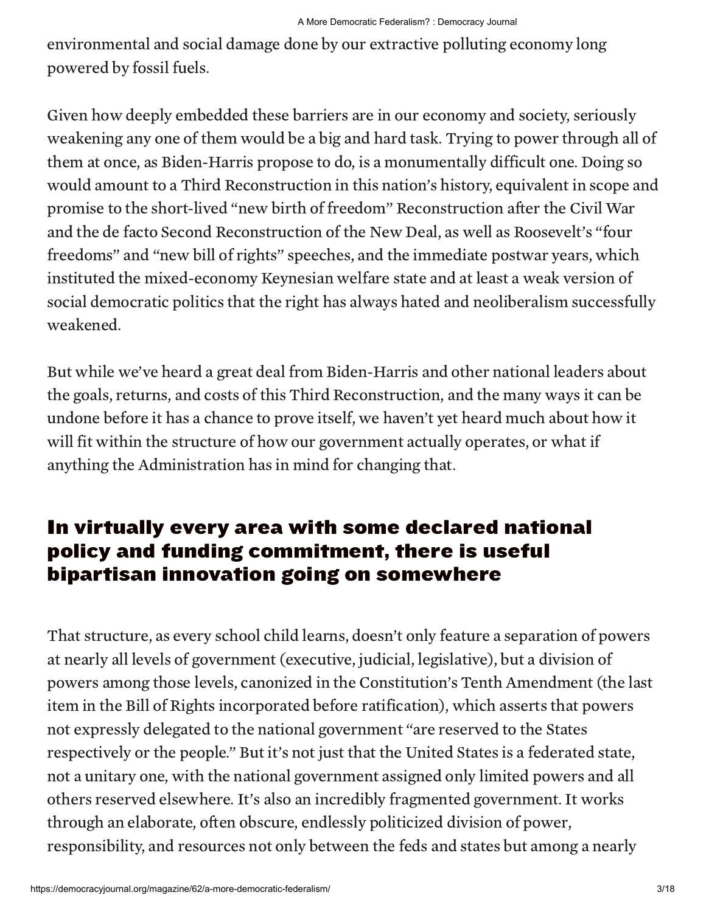environmental and social damage done by our extractive polluting economy long powered by fossil fuels.

Given how deeply embedded these barriers are in our economy and society, seriously weakening any one of them would be a big and hard task. Trying to power through all of them at once, as Biden-Harris propose to do, is a monumentally difficult one. Doing so would amount to a Third Reconstruction in this nation's history, equivalent in scope and promise to the short-lived "new birth of freedom" Reconstruction after the Civil War and the de facto Second Reconstruction of the New Deal, as well as Roosevelt's "four freedoms" and "new bill of rights" speeches, and the immediate postwar years, which instituted the mixed-economy Keynesian welfare state and at least a weak version of social democratic politics that the right has always hated and neoliberalism successfully weakened.

But while we've heard a great deal from Biden-Harris and other national leaders about the goals, returns, and costs of this Third Reconstruction, and the many ways it can be undone before it has a chance to prove itself, we haven't yet heard much about how it will fit within the structure of how our government actually operates, or what if anything the Administration has in mind for changing that.

#### In virtually every area with some declared national policy and funding commitment, there is useful bipartisan innovation going on somewhere

That structure, as every school child learns, doesn't only feature a separation of powers at nearly all levels of government (executive, judicial, legislative), but a division of powers among those levels, canonized in the Constitution's Tenth Amendment (the last item in the Bill of Rights incorporated before ratification), which asserts that powers not expressly delegated to the national government "are reserved to the States respectively or the people." But it's not just that the United States is a federated state, not a unitary one, with the national government assigned only limited powers and all others reserved elsewhere. It's also an incredibly fragmented government. It works through an elaborate, often obscure, endlessly politicized division of power, responsibility, and resources not only between the feds and states but among a nearly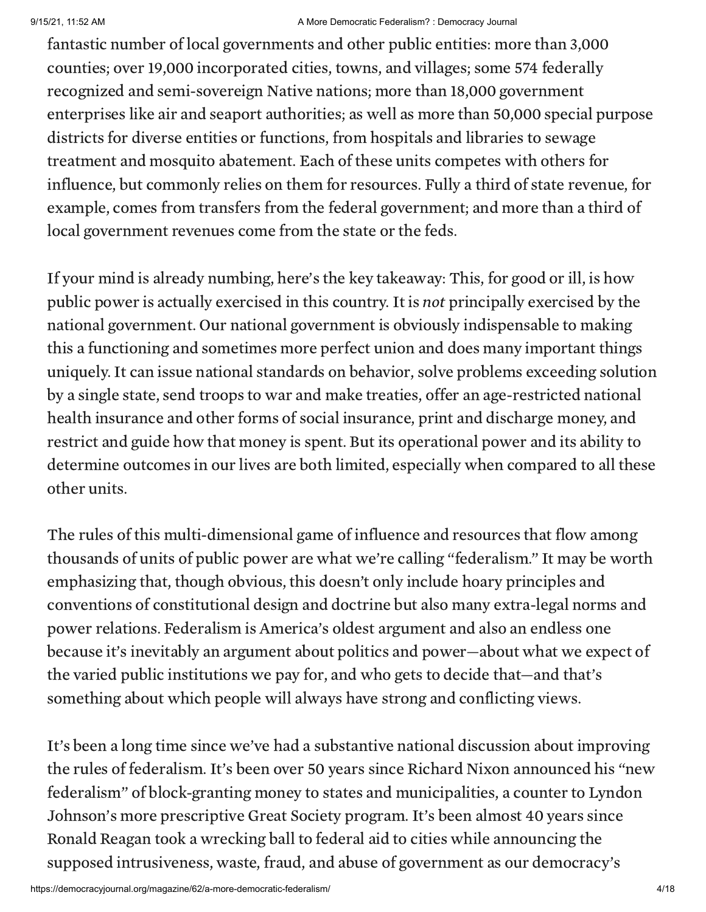#### 9/15/21, 11:52 AM A More Democratic Federalism? : Democracy Journal

fantastic number of local governments and other public entities: more than 3,000 counties; over 19,000 incorporated cities, towns, and villages; some 574 federally recognized and semi-sovereign Native nations; more than 18,000 government enterprises like air and seaport authorities; as well as more than 50,000 special purpose districts for diverse entities or functions, from hospitals and libraries to sewage treatment and mosquito abatement. Each of these units competes with others for influence, but commonly relies on them for resources. Fully a third of state revenue, for example, comes from transfers from the federal government; and more than a third of local government revenues come from the state or the feds.

If your mind is already numbing, here's the key takeaway: This, for good or ill, is how public power is actually exercised in this country. It is not principally exercised by the national government. Our national government is obviously indispensable to making this a functioning and sometimes more perfect union and does many important things uniquely. It can issue national standards on behavior, solve problems exceeding solution by a single state, send troops to war and make treaties, offer an age-restricted national health insurance and other forms of social insurance, print and discharge money, and restrict and guide how that money is spent. But its operational power and its ability to determine outcomes in our lives are both limited, especially when compared to all these other units.

The rules of this multi-dimensional game of influence and resources that flow among thousands of units of public power are what we're calling "federalism." It may be worth emphasizing that, though obvious, this doesn't only include hoary principles and conventions of constitutional design and doctrine but also many extra-legal norms and power relations. Federalism is America's oldest argument and also an endless one because it's inevitably an argument about politics and power—about what we expect of the varied public institutions we pay for, and who gets to decide that—and that's something about which people will always have strong and conflicting views.

It's been a long time since we've had a substantive national discussion about improving the rules of federalism. It's been over 50 years since Richard Nixon announced his "new federalism" of block-granting money to states and municipalities, a counter to Lyndon Johnson's more prescriptive Great Society program. It's been almost 40 years since Ronald Reagan took a wrecking ball to federal aid to cities while announcing the supposed intrusiveness, waste, fraud, and abuse of government as our democracy's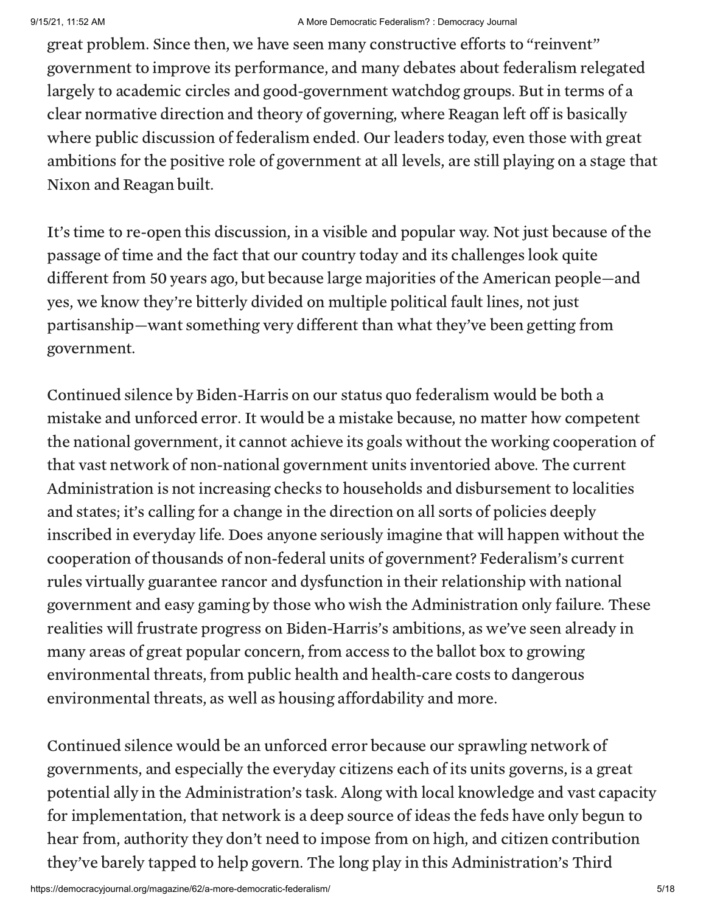great problem. Since then, we have seen many constructive efforts to "reinvent" government to improve its performance, and many debates about federalism relegated largely to academic circles and good-government watchdog groups. But in terms of a clear normative direction and theory of governing, where Reagan left off is basically where public discussion of federalism ended. Our leaders today, even those with great ambitions for the positive role of government at all levels, are still playing on a stage that Nixon and Reagan built.

It's time to re-open this discussion, in a visible and popular way. Not just because of the passage of time and the fact that our country today and its challenges look quite different from 50 years ago, but because large majorities of the American people—and yes, we know they're bitterly divided on multiple political fault lines, not just partisanship—want something very different than what they've been getting from government.

Continued silence by Biden-Harris on our status quo federalism would be both a mistake and unforced error. It would be a mistake because, no matter how competent the national government, it cannot achieve its goals without the working cooperation of that vast network of non-national government units inventoried above. The current Administration is not increasing checks to households and disbursement to localities and states; it's calling for a change in the direction on all sorts of policies deeply inscribed in everyday life. Does anyone seriously imagine that will happen without the cooperation of thousands of non-federal units of government? Federalism's current rules virtually guarantee rancor and dysfunction in their relationship with national government and easy gaming by those who wish the Administration only failure. These realities will frustrate progress on Biden-Harris's ambitions, as we've seen already in many areas of great popular concern, from access to the ballot box to growing environmental threats, from public health and health-care costs to dangerous environmental threats, as well as housing affordability and more.

Continued silence would be an unforced error because our sprawling network of governments, and especially the everyday citizens each of its units governs, is a great potential ally in the Administration's task. Along with local knowledge and vast capacity for implementation, that network is a deep source of ideas the feds have only begun to hear from, authority they don't need to impose from on high, and citizen contribution they've barely tapped to help govern. The long play in this Administration's Third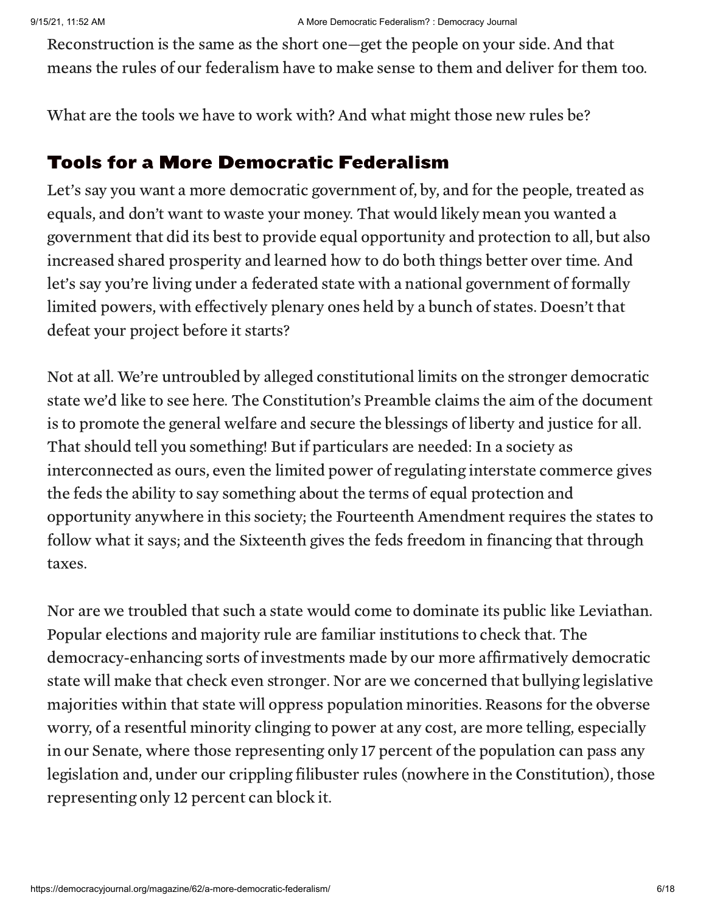Reconstruction is the same as the short one—get the people on your side. And that means the rules of our federalism have to make sense to them and deliver for them too.

What are the tools we have to work with? And what might those new rules be?

#### Tools for a More Democratic Federalism

Let's say you want a more democratic government of, by, and for the people, treated as equals, and don't want to waste your money. That would likely mean you wanted a government that did its best to provide equal opportunity and protection to all, but also increased shared prosperity and learned how to do both things better over time. And let's say you're living under a federated state with a national government of formally limited powers, with effectively plenary ones held by a bunch of states. Doesn't that defeat your project before it starts?

Not at all. We're untroubled by alleged constitutional limits on the stronger democratic state we'd like to see here. The Constitution's Preamble claims the aim of the document is to promote the general welfare and secure the blessings of liberty and justice for all. That should tell you something! But if particulars are needed: In a society as interconnected as ours, even the limited power of regulating interstate commerce gives the feds the ability to say something about the terms of equal protection and opportunity anywhere in this society; the Fourteenth Amendment requires the states to follow what it says; and the Sixteenth gives the feds freedom in financing that through taxes.

Nor are we troubled that such a state would come to dominate its public like Leviathan. Popular elections and majority rule are familiar institutions to check that. The democracy-enhancing sorts of investments made by our more affirmatively democratic state will make that check even stronger. Nor are we concerned that bullying legislative majorities within that state will oppress population minorities. Reasons for the obverse worry, of a resentful minority clinging to power at any cost, are more telling, especially in our Senate, where those representing only 17 percent of the population can pass any legislation and, under our crippling filibuster rules (nowhere in the Constitution), those representing only 12 percent can block it.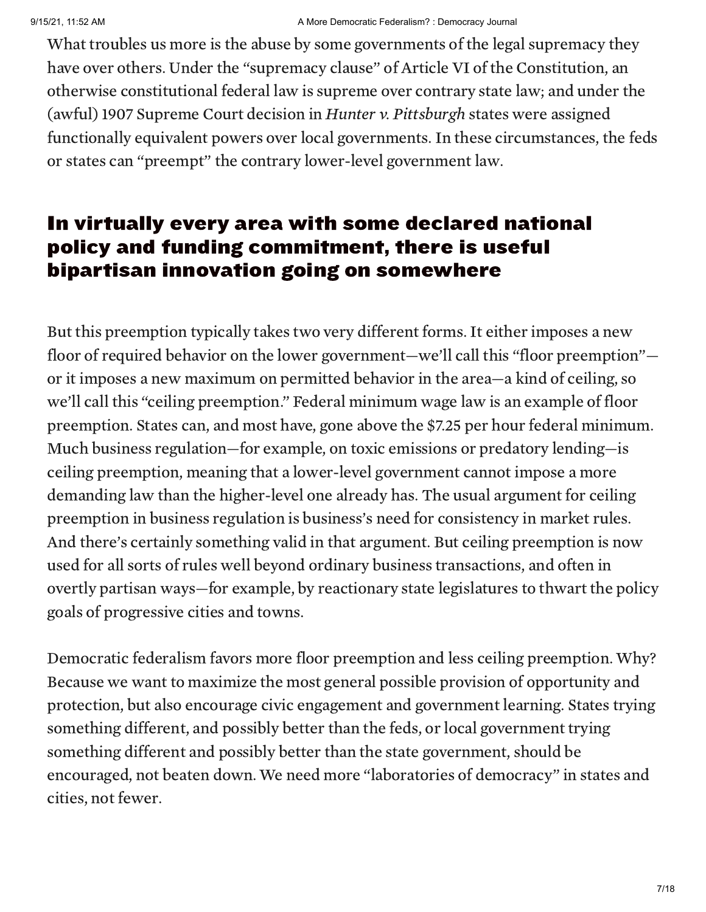What troubles us more is the abuse by some governments of the legal supremacy they have over others. Under the "supremacy clause" of Article VI of the Constitution, an otherwise constitutional federal law is supreme over contrary state law; and under the (awful) 1907 Supreme Court decision in Hunter v. Pittsburgh states were assigned functionally equivalent powers over local governments. In these circumstances, the feds or states can "preempt" the contrary lower-level government law.

#### In virtually every area with some declared national policy and funding commitment, there is useful bipartisan innovation going on somewhere

But this preemption typically takes two very different forms. It either imposes a new floor of required behavior on the lower government—we'll call this "floor preemption" or it imposes a new maximum on permitted behavior in the area—a kind of ceiling, so we'll call this "ceiling preemption." Federal minimum wage law is an example of floor preemption. States can, and most have, gone above the \$7.25 per hour federal minimum. Much business regulation—for example, on toxic emissions or predatory lending—is ceiling preemption, meaning that a lower-level government cannot impose a more demanding law than the higher-level one already has. The usual argument for ceiling preemption in business regulation is business's need for consistency in market rules. And there's certainly something valid in that argument. But ceiling preemption is now used for all sorts of rules well beyond ordinary business transactions, and often in overtly partisan ways—for example, by reactionary state legislatures to thwart the policy goals of progressive cities and towns.

Democratic federalism favors more floor preemption and less ceiling preemption. Why? Because we want to maximize the most general possible provision of opportunity and protection, but also encourage civic engagement and government learning. States trying something different, and possibly better than the feds, or local government trying something different and possibly better than the state government, should be encouraged, not beaten down. We need more "laboratories of democracy" in states and cities, not fewer.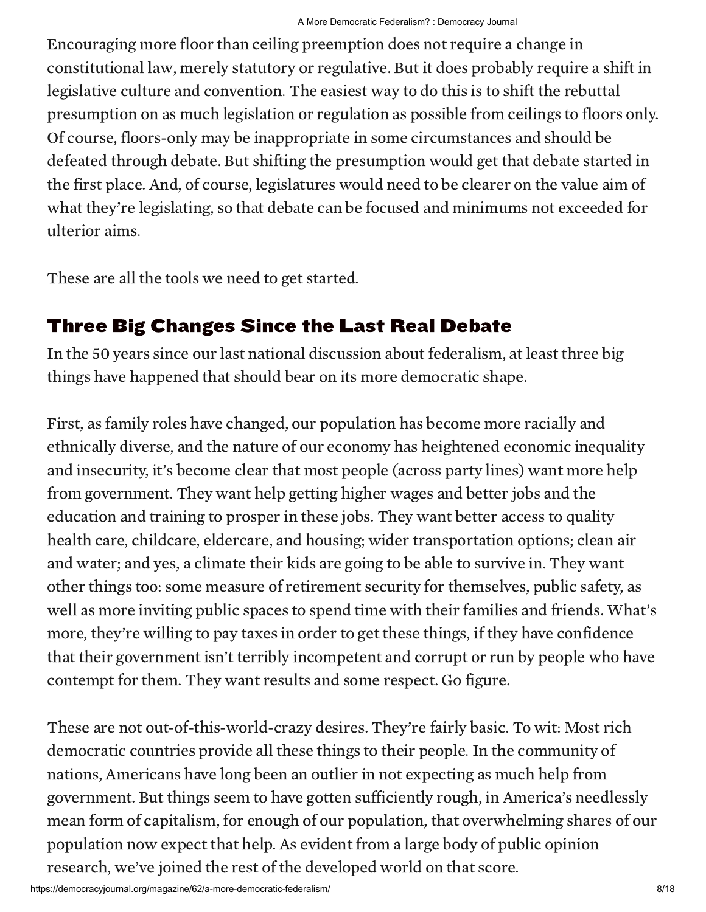Encouraging more floor than ceiling preemption does not require a change in constitutional law, merely statutory or regulative. But it does probably require a shift in legislative culture and convention. The easiest way to do this is to shift the rebuttal presumption on as much legislation or regulation as possible from ceilings to floors only. Of course, floors-only may be inappropriate in some circumstances and should be defeated through debate. But shifting the presumption would get that debate started in the first place. And, of course, legislatures would need to be clearer on the value aim of what they're legislating, so that debate can be focused and minimums not exceeded for ulterior aims.

These are all the tools we need to get started.

#### Three Big Changes Since the Last Real Debate

In the 50 years since our last national discussion about federalism, at least three big things have happened that should bear on its more democratic shape.

First, as family roles have changed, our population has become more racially and ethnically diverse, and the nature of our economy has heightened economic inequality and insecurity, it's become clear that most people (across party lines) want more help from government. They want help getting higher wages and better jobs and the education and training to prosper in these jobs. They want better access to quality health care, childcare, eldercare, and housing; wider transportation options; clean air and water; and yes, a climate their kids are going to be able to survive in. They want other things too: some measure of retirement security for themselves, public safety, as well as more inviting public spaces to spend time with their families and friends. What's more, they're willing to pay taxes in order to get these things, if they have confidence that their government isn't terribly incompetent and corrupt or run by people who have contempt for them. They want results and some respect. Go figure.

These are not out-of-this-world-crazy desires. They're fairly basic. To wit: Most rich democratic countries provide all these things to their people. In the community of nations, Americans have long been an outlier in not expecting as much help from government. But things seem to have gotten sufficiently rough, in America's needlessly mean form of capitalism, for enough of our population, that overwhelming shares of our population now expect that help. As evident from a large body of public opinion research, we've joined the rest of the developed world on that score.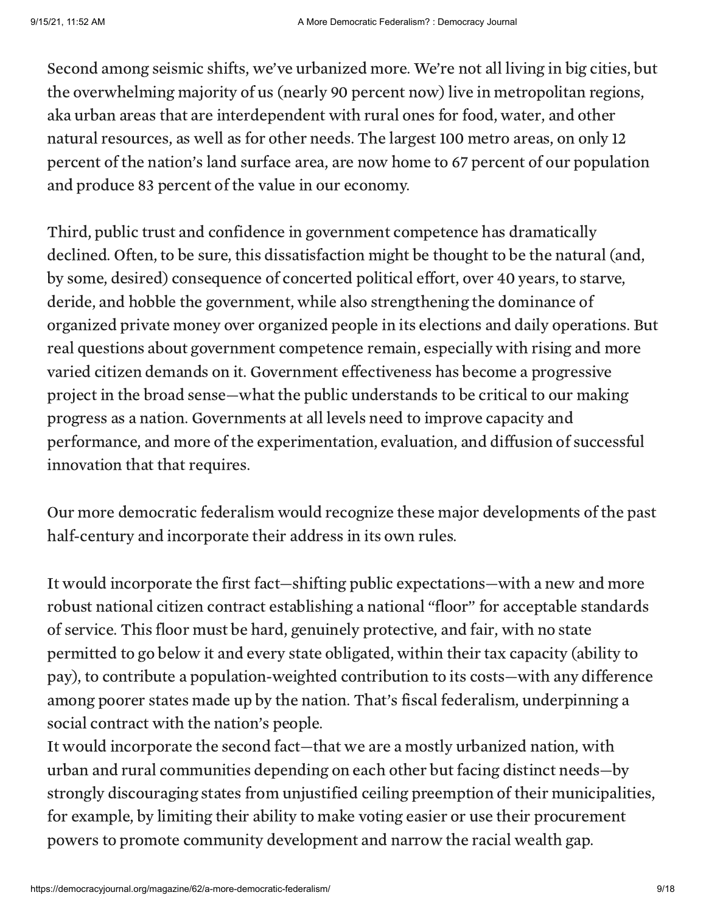Second among seismic shifts, we've urbanized more. We're not all living in big cities, but the overwhelming majority of us (nearly 90 percent now) live in metropolitan regions, aka urban areas that are interdependent with rural ones for food, water, and other natural resources, as well as for other needs. The largest 100 metro areas, on only 12 percent of the nation's land surface area, are now home to 67 percent of our population and produce 83 percent of the value in our economy.

Third, public trust and confidence in government competence has dramatically declined. Often, to be sure, this dissatisfaction might be thought to be the natural (and, by some, desired) consequence of concerted political effort, over 40 years, to starve, deride, and hobble the government, while also strengthening the dominance of organized private money over organized people in its elections and daily operations. But real questions about government competence remain, especially with rising and more varied citizen demands on it. Government effectiveness has become a progressive project in the broad sense—what the public understands to be critical to our making progress as a nation. Governments at all levels need to improve capacity and performance, and more of the experimentation, evaluation, and diffusion of successful innovation that that requires.

Our more democratic federalism would recognize these major developments of the past half-century and incorporate their address in its own rules.

It would incorporate the first fact—shifting public expectations—with a new and more robust national citizen contract establishing a national "floor" for acceptable standards of service. This floor must be hard, genuinely protective, and fair, with no state permitted to go below it and every state obligated, within their tax capacity (ability to pay), to contribute a population-weighted contribution to its costs—with any difference among poorer states made up by the nation. That's fiscal federalism, underpinning a social contract with the nation's people.

It would incorporate the second fact—that we are a mostly urbanized nation, with urban and rural communities depending on each other but facing distinct needs—by strongly discouraging states from unjustified ceiling preemption of their municipalities, for example, by limiting their ability to make voting easier or use their procurement powers to promote community development and narrow the racial wealth gap.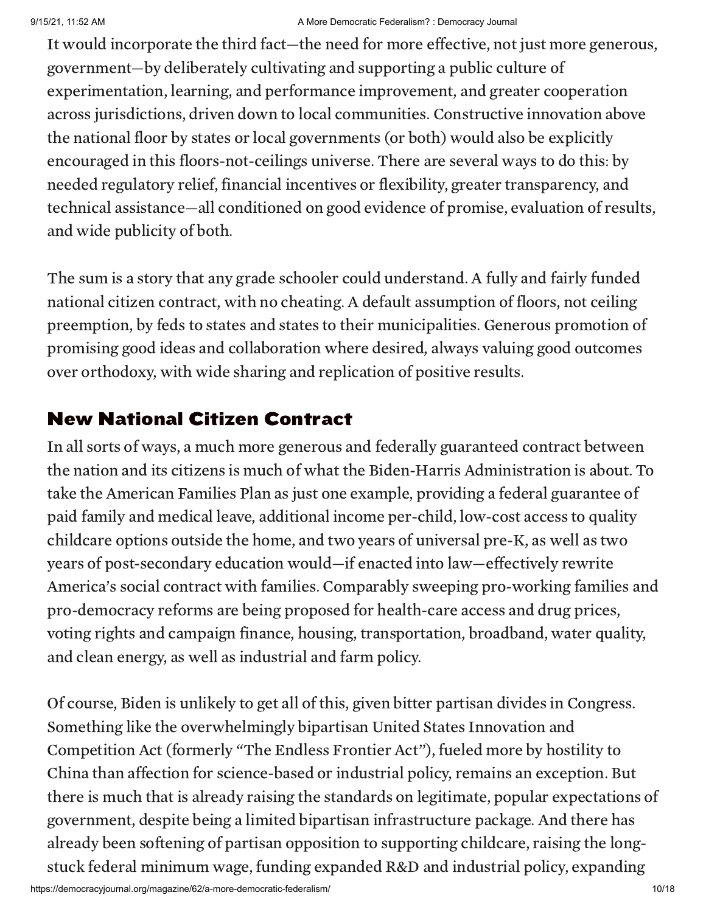It would incorporate the third fact—the need for more effective, not just more generous, government—by deliberately cultivating and supporting a public culture of experimentation, learning, and performance improvement, and greater cooperation across jurisdictions, driven down to local communities. Constructive innovation above the national floor by states or local governments (or both) would also be explicitly encouraged in this floors-not-ceilings universe. There are several ways to do this: by needed regulatory relief, financial incentives or flexibility, greater transparency, and technical assistance—all conditioned on good evidence of promise, evaluation of results, and wide publicity of both.

The sum is a story that any grade schooler could understand. A fully and fairly funded national citizen contract, with no cheating. A default assumption of floors, not ceiling preemption, by feds to states and states to their municipalities. Generous promotion of promising good ideas and collaboration where desired, always valuing good outcomes over orthodoxy, with wide sharing and replication of positive results.

#### New National Citizen Contract

In all sorts of ways, a much more generous and federally guaranteed contract between the nation and its citizens is much of what the Biden-Harris Administration is about. To take the American Families Plan as just one example, providing a federal guarantee of paid family and medical leave, additional income per-child, low-cost access to quality childcare options outside the home, and two years of universal pre-K, as well as two years of post-secondary education would—if enacted into law—effectively rewrite America's social contract with families. Comparably sweeping pro-working families and pro-democracy reforms are being proposed for health-care access and drug prices, voting rights and campaign finance, housing, transportation, broadband, water quality, and clean energy, as well as industrial and farm policy.

Of course, Biden is unlikely to get all of this, given bitter partisan divides in Congress. Something like the overwhelmingly bipartisan United States Innovation and Competition Act (formerly "The Endless Frontier Act"), fueled more by hostility to China than affection for science-based or industrial policy, remains an exception. But there is much that is already raising the standards on legitimate, popular expectations of government, despite being a limited bipartisan infrastructure package. And there has already been softening of partisan opposition to supporting childcare, raising the longstuck federal minimum wage, funding expanded R&D and industrial policy, expanding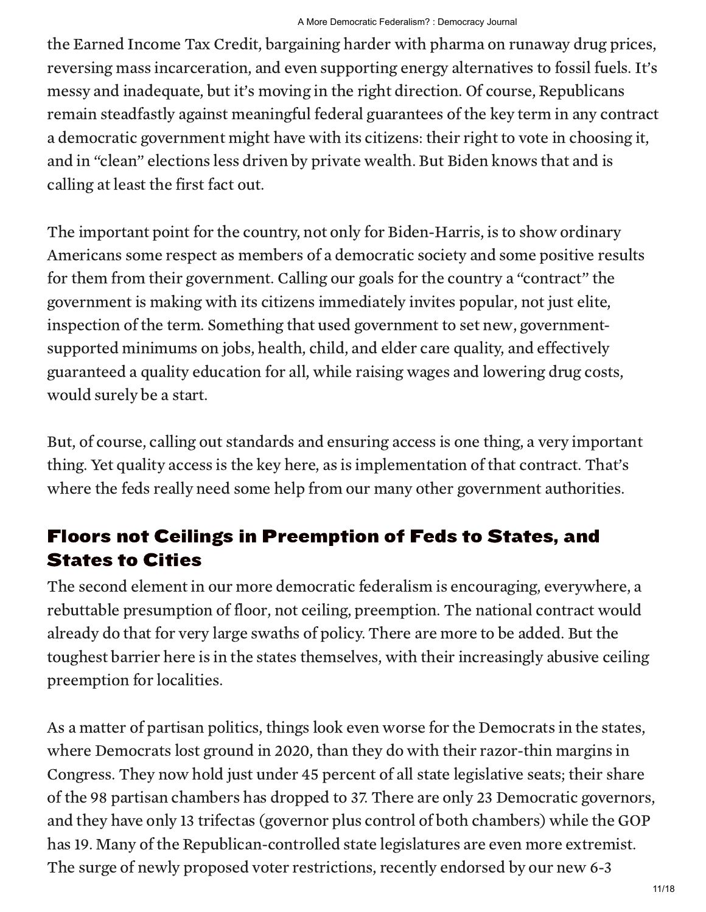the Earned Income Tax Credit, bargaining harder with pharma on runaway drug prices, reversing mass incarceration, and even supporting energy alternatives to fossil fuels. It's messy and inadequate, but it's moving in the right direction. Of course, Republicans remain steadfastly against meaningful federal guarantees of the key term in any contract a democratic government might have with its citizens: their right to vote in choosing it, and in "clean" elections less driven by private wealth. But Biden knows that and is calling at least the first fact out.

The important point for the country, not only for Biden-Harris, is to show ordinary Americans some respect as members of a democratic society and some positive results for them from their government. Calling our goals for the country a "contract" the government is making with its citizens immediately invites popular, not just elite, inspection of the term. Something that used government to set new, governmentsupported minimums on jobs, health, child, and elder care quality, and effectively guaranteed a quality education for all, while raising wages and lowering drug costs, would surely be a start.

But, of course, calling out standards and ensuring access is one thing, a very important thing. Yet quality access is the key here, as is implementation of that contract. That's where the feds really need some help from our many other government authorities.

#### Floors not Ceilings in Preemption of Feds to States, and States to Cities

The second element in our more democratic federalism is encouraging, everywhere, a rebuttable presumption of floor, not ceiling, preemption. The national contract would already do that for very large swaths of policy. There are more to be added. But the toughest barrier here is in the states themselves, with their increasingly abusive ceiling preemption for localities.

As a matter of partisan politics, things look even worse for the Democrats in the states, where Democrats lost ground in 2020, than they do with their razor-thin margins in Congress. They now hold just under 45 percent of all state legislative seats; their share of the 98 partisan chambers has dropped to 37. There are only 23 Democratic governors, and they have only 13 trifectas (governor plus control of both chambers) while the GOP has 19. Many of the Republican-controlled state legislatures are even more extremist. The surge of newly proposed voter restrictions, recently endorsed by our new 6-3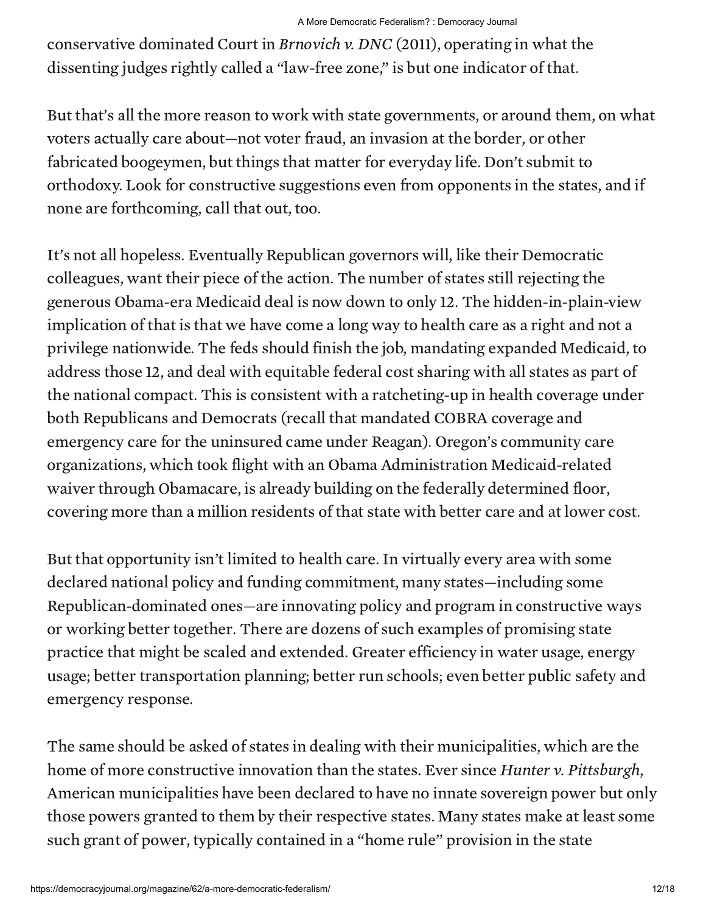conservative dominated Court in Brnovich v. DNC (2011), operating in what the dissenting judges rightly called a "law-free zone," is but one indicator of that.

But that's all the more reason to work with state governments, or around them, on what voters actually care about—not voter fraud, an invasion at the border, or other fabricated boogeymen, but things that matter for everyday life. Don't submit to orthodoxy. Look for constructive suggestions even from opponents in the states, and if none are forthcoming, call that out, too.

It's not all hopeless. Eventually Republican governors will, like their Democratic colleagues, want their piece of the action. The number of states still rejecting the generous Obama-era Medicaid deal is now down to only 12. The hidden-in-plain-view implication of that is that we have come a long way to health care as a right and not a privilege nationwide. The feds should finish the job, mandating expanded Medicaid, to address those 12, and deal with equitable federal cost sharing with all states as part of the national compact. This is consistent with a ratcheting-up in health coverage under both Republicans and Democrats (recall that mandated COBRA coverage and emergency care for the uninsured came under Reagan). Oregon's community care organizations, which took flight with an Obama Administration Medicaid-related waiver through Obamacare, is already building on the federally determined floor, covering more than a million residents of that state with better care and at lower cost.

But that opportunity isn't limited to health care. In virtually every area with some declared national policy and funding commitment, many states—including some Republican-dominated ones—are innovating policy and program in constructive ways or working better together. There are dozens of such examples of promising state practice that might be scaled and extended. Greater efficiency in water usage, energy usage; better transportation planning; better run schools; even better public safety and emergency response.

The same should be asked of states in dealing with their municipalities, which are the home of more constructive innovation than the states. Ever since *Hunter v. Pittsburgh*, American municipalities have been declared to have no innate sovereign power but only those powers granted to them by their respective states. Many states make at least some such grant of power, typically contained in a "home rule" provision in the state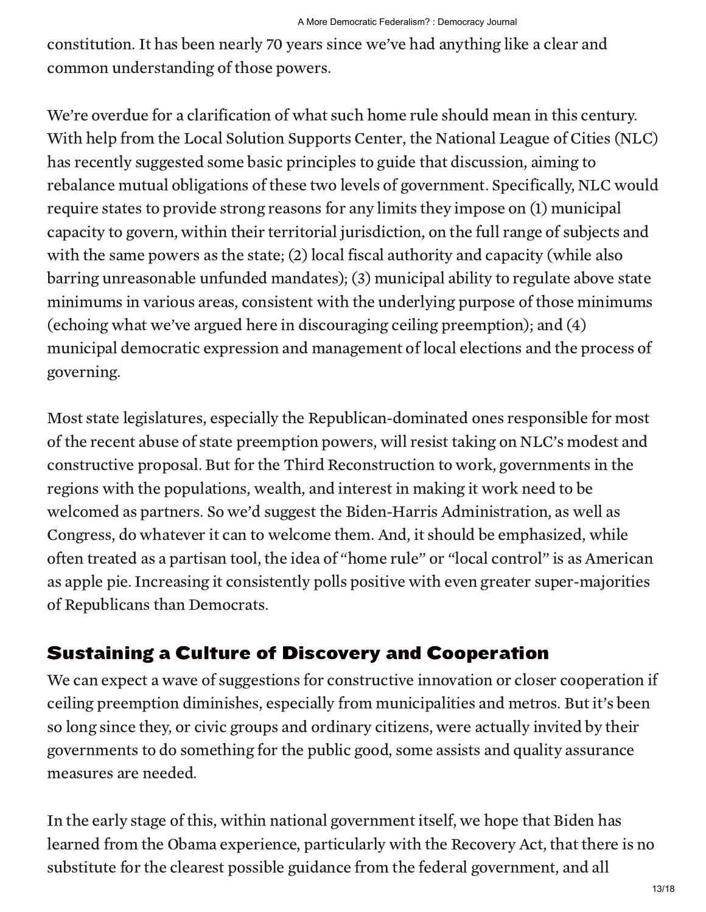constitution. It has been nearly 70 years since we've had anything like a clear and common understanding of those powers.

We're overdue for a clarification of what such home rule should mean in this century. With help from the Local Solution Supports Center, the National League of Cities (NLC) has recently suggested some basic principles to guide that discussion, aiming to rebalance mutual obligations of these two levels of government. Specifically, NLC would require states to provide strong reasons for any limits they impose on (1) municipal capacity to govern, within their territorial jurisdiction, on the full range of subjects and with the same powers as the state; (2) local fiscal authority and capacity (while also barring unreasonable unfunded mandates); (3) municipal ability to regulate above state minimums in various areas, consistent with the underlying purpose of those minimums (echoing what we've argued here in discouraging ceiling preemption); and (4) municipal democratic expression and management of local elections and the process of governing.

Most state legislatures, especially the Republican-dominated ones responsible for most of the recent abuse of state preemption powers, will resist taking on NLC's modest and constructive proposal. But for the Third Reconstruction to work, governments in the regions with the populations, wealth, and interest in making it work need to be welcomed as partners. So we'd suggest the Biden-Harris Administration, as well as Congress, do whatever it can to welcome them. And, it should be emphasized, while often treated as a partisan tool, the idea of "home rule" or "local control" is as American as apple pie. Increasing it consistently polls positive with even greater super-majorities of Republicans than Democrats.

#### Sustaining a Culture of Discovery and Cooperation

We can expect a wave of suggestions for constructive innovation or closer cooperation if ceiling preemption diminishes, especially from municipalities and metros. But it's been so long since they, or civic groups and ordinary citizens, were actually invited by their governments to do something for the public good, some assists and quality assurance measures are needed.

In the early stage of this, within national government itself, we hope that Biden has learned from the Obama experience, particularly with the Recovery Act, that there is no substitute for the clearest possible guidance from the federal government, and all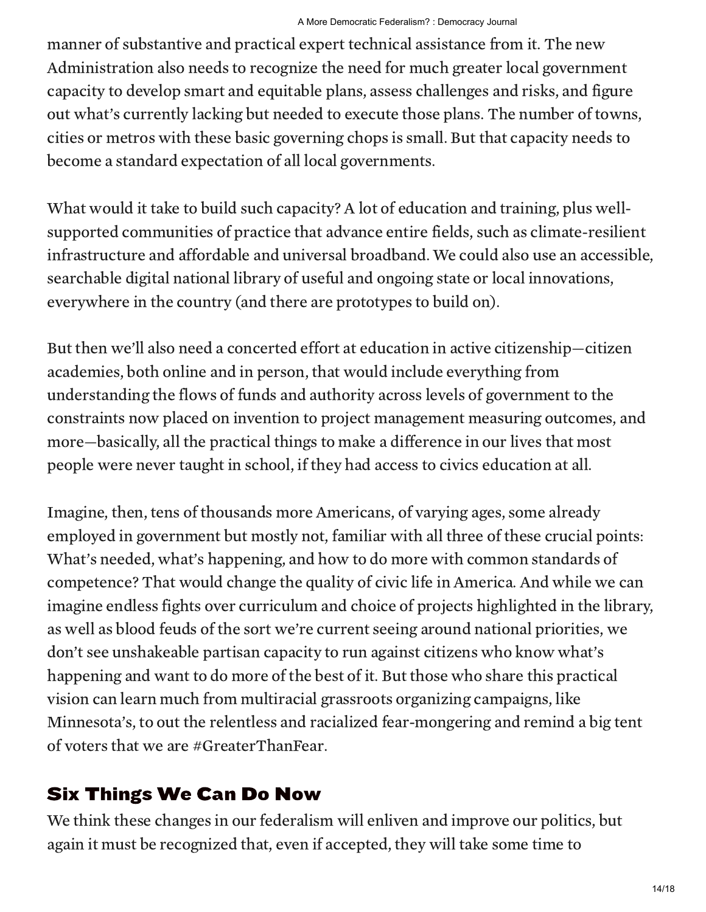manner of substantive and practical expert technical assistance from it. The new Administration also needs to recognize the need for much greater local government capacity to develop smart and equitable plans, assess challenges and risks, and figure out what's currently lacking but needed to execute those plans. The number of towns, cities or metros with these basic governing chops is small. But that capacity needs to become a standard expectation of all local governments.

What would it take to build such capacity? A lot of education and training, plus wellsupported communities of practice that advance entire fields, such as climate-resilient infrastructure and affordable and universal broadband. We could also use an accessible, searchable digital national library of useful and ongoing state or local innovations, everywhere in the country (and there are prototypes to build on).

But then we'll also need a concerted effort at education in active citizenship—citizen academies, both online and in person, that would include everything from understanding the flows of funds and authority across levels of government to the constraints now placed on invention to project management measuring outcomes, and more—basically, all the practical things to make a difference in our lives that most people were never taught in school, if they had access to civics education at all.

Imagine, then, tens of thousands more Americans, of varying ages, some already employed in government but mostly not, familiar with all three of these crucial points: What's needed, what's happening, and how to do more with common standards of competence? That would change the quality of civic life in America. And while we can imagine endless fights over curriculum and choice of projects highlighted in the library, as well as blood feuds of the sort we're current seeing around national priorities, we don't see unshakeable partisan capacity to run against citizens who know what's happening and want to do more of the best of it. But those who share this practical vision can learn much from multiracial grassroots organizing campaigns, like Minnesota's, to out the relentless and racialized fear-mongering and remind a big tent of voters that we are #GreaterThanFear.

### Six Things We Can Do Now

We think these changes in our federalism will enliven and improve our politics, but again it must be recognized that, even if accepted, they will take some time to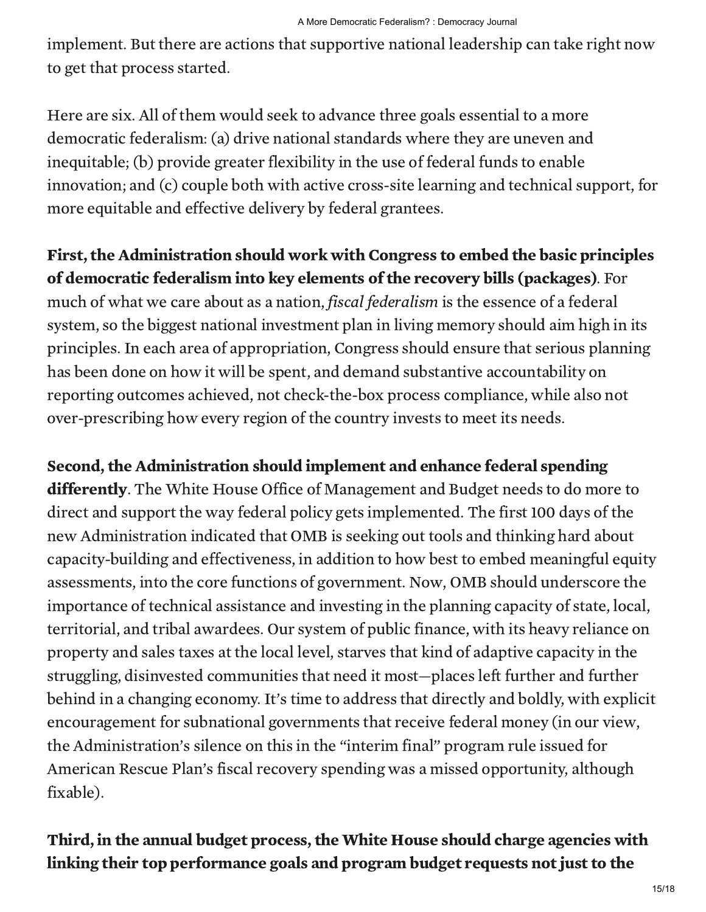implement. But there are actions that supportive national leadership can take right now to get that process started.

Here are six. All of them would seek to advance three goals essential to a more democratic federalism: (a) drive national standards where they are uneven and inequitable; (b) provide greater flexibility in the use of federal funds to enable innovation; and (c) couple both with active cross-site learning and technical support, for more equitable and effective delivery by federal grantees.

#### First, the Administration should work with Congress to embed the basic principles of democratic federalism into key elements of the recovery bills (packages). For

much of what we care about as a nation, fiscal federalism is the essence of a federal system, so the biggest national investment plan in living memory should aim high in its principles. In each area of appropriation, Congress should ensure that serious planning has been done on how it will be spent, and demand substantive accountability on reporting outcomes achieved, not check-the-box process compliance, while also not over-prescribing how every region of the country invests to meet its needs.

Second, the Administration should implement and enhance federal spending differently. The White House Office of Management and Budget needs to do more to direct and support the way federal policy gets implemented. The first 100 days of the new Administration indicated that OMB is seeking out tools and thinking hard about capacity-building and effectiveness, in addition to how best to embed meaningful equity assessments, into the core functions of government. Now, OMB should underscore the importance of technical assistance and investing in the planning capacity of state, local, territorial, and tribal awardees. Our system of public finance, with its heavy reliance on property and sales taxes at the local level, starves that kind of adaptive capacity in the struggling, disinvested communities that need it most—places left further and further behind in a changing economy. It's time to address that directly and boldly, with explicit encouragement for subnational governments that receive federal money (in our view, the Administration's silence on this in the "interim final" program rule issued for American Rescue Plan's fiscal recovery spending was a missed opportunity, although fixable).

#### Third, in the annual budget process, the White House should charge agencies with linking their top performance goals and program budget requests not just to the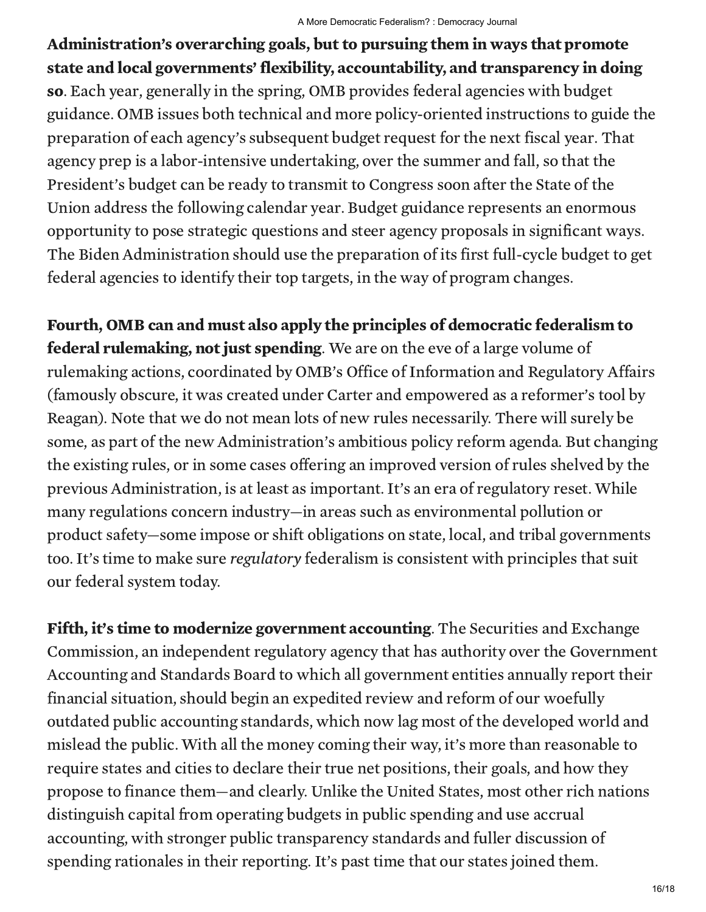Administration's overarching goals, but to pursuing them in ways that promote state and local governments' flexibility, accountability, and transparency in doing so. Each year, generally in the spring, OMB provides federal agencies with budget guidance. OMB issues both technical and more policy-oriented instructions to guide the preparation of each agency's subsequent budget request for the next fiscal year. That agency prep is a labor-intensive undertaking, over the summer and fall, so that the President's budget can be ready to transmit to Congress soon after the State of the Union address the following calendar year. Budget guidance represents an enormous opportunity to pose strategic questions and steer agency proposals in significant ways. The Biden Administration should use the preparation of its first full-cycle budget to get federal agencies to identify their top targets, in the way of program changes.

Fourth, OMB can and must also apply the principles of democratic federalism to **federal rulemaking, not just spending.** We are on the eve of a large volume of rulemaking actions, coordinated by OMB's Office of Information and Regulatory Affairs (famously obscure, it was created under Carter and empowered as a reformer's tool by Reagan). Note that we do not mean lots of new rules necessarily. There will surely be some, as part of the new Administration's ambitious policy reform agenda. But changing the existing rules, or in some cases offering an improved version of rules shelved by the previous Administration, is at least as important. It's an era of regulatory reset. While many regulations concern industry—in areas such as environmental pollution or product safety—some impose or shift obligations on state, local, and tribal governments too. It's time to make sure regulatory federalism is consistent with principles that suit our federal system today.

Fifth, it's time to modernize government accounting. The Securities and Exchange Commission, an independent regulatory agency that has authority over the Government Accounting and Standards Board to which all government entities annually report their financial situation, should begin an expedited review and reform of our woefully outdated public accounting standards, which now lag most of the developed world and mislead the public. With all the money coming their way, it's more than reasonable to require states and cities to declare their true net positions, their goals, and how they propose to finance them—and clearly. Unlike the United States, most other rich nations distinguish capital from operating budgets in public spending and use accrual accounting, with stronger public transparency standards and fuller discussion of spending rationales in their reporting. It's past time that our states joined them.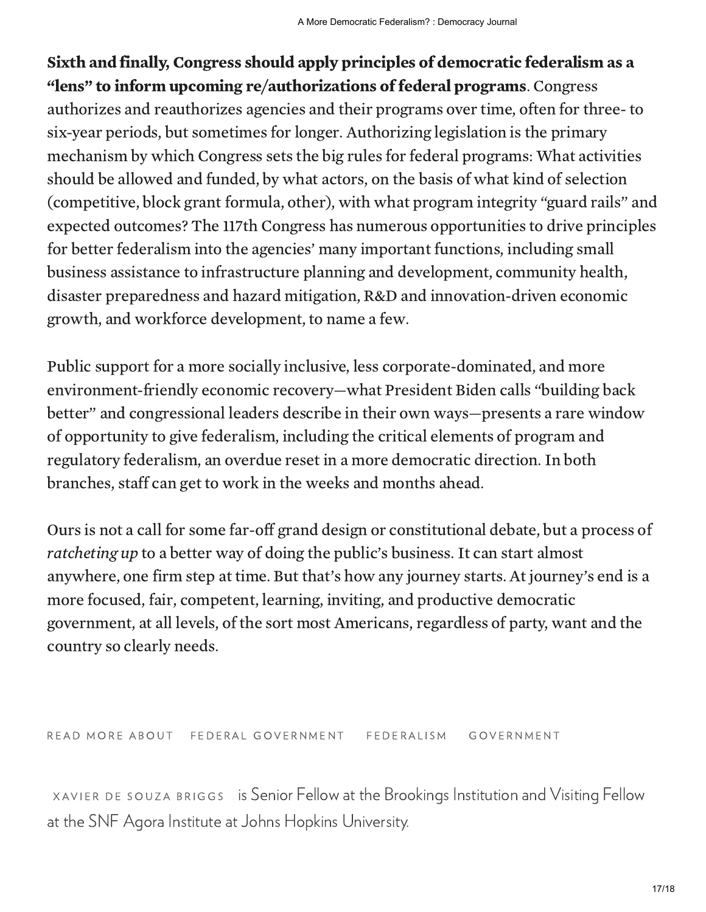Sixth and finally, Congress should apply principles of democratic federalism as a "lens" to inform upcoming re/authorizations of federal programs. Congress authorizes and reauthorizes agencies and their programs over time, often for three- to six-year periods, but sometimes for longer. Authorizing legislation is the primary mechanism by which Congress sets the big rules for federal programs: What activities should be allowed and funded, by what actors, on the basis of what kind of selection (competitive, block grant formula, other), with what program integrity "guard rails" and expected outcomes? The 117th Congress has numerous opportunities to drive principles for better federalism into the agencies' many important functions, including small business assistance to infrastructure planning and development, community health, disaster preparedness and hazard mitigation, R&D and innovation-driven economic growth, and workforce development, to name a few.

Public support for a more socially inclusive, less corporate-dominated, and more environment-friendly economic recovery—what President Biden calls "building back better" and congressional leaders describe in their own ways—presents a rare window of opportunity to give federalism, including the critical elements of program and regulatory federalism, an overdue reset in a more democratic direction. In both branches, staff can get to work in the weeks and months ahead.

Ours is not a call for some far-off grand design or constitutional debate, but a process of ratcheting up to a better way of doing the public's business. It can start almost anywhere, one firm step at time. But that's how any journey starts. At journey's end is a more focused, fair, competent, learning, inviting, and productive democratic government, at all levels, of the sort most Americans, regardless of party, want and the country so clearly needs.

## R EAD MORE ABOUT FEDERAL GOVERNMENT FEDERALISM GOVERNMENT

 $\times$ AVIER DE SOUZA BRIGGS  $\;$  is Senior Fellow at the Brookings Institution and Visiting Fellow at the SNF Agora Institute at Johns Hopkins University.